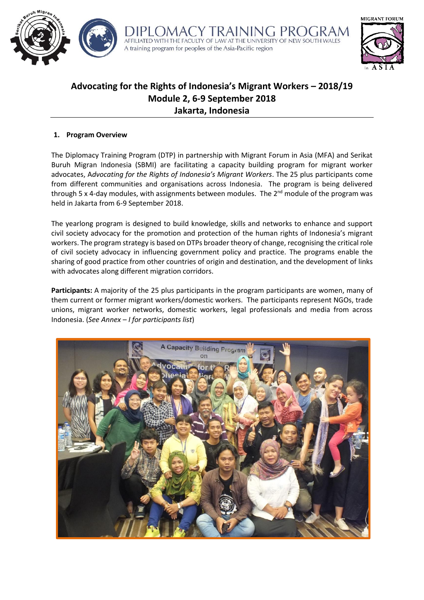



# **Advocating for the Rights of Indonesia's Migrant Workers – 2018/19 Module 2, 6-9 September 2018 Jakarta, Indonesia**

## **1. Program Overview**

The Diplomacy Training Program (DTP) in partnership with Migrant Forum in Asia (MFA) and Serikat Buruh Migran Indonesia (SBMI) are facilitating a capacity building program for migrant worker advocates, A*dvocating for the Rights of Indonesia's Migrant Workers*. The 25 plus participants come from different communities and organisations across Indonesia. The program is being delivered through 5 x 4-day modules, with assignments between modules. The  $2<sup>nd</sup>$  module of the program was held in Jakarta from 6-9 September 2018.

The yearlong program is designed to build knowledge, skills and networks to enhance and support civil society advocacy for the promotion and protection of the human rights of Indonesia's migrant workers. The program strategy is based on DTPs broader theory of change, recognising the critical role of civil society advocacy in influencing government policy and practice. The programs enable the sharing of good practice from other countries of origin and destination, and the development of links with advocates along different migration corridors.

**Participants:** A majority of the 25 plus participants in the program participants are women, many of them current or former migrant workers/domestic workers. The participants represent NGOs, trade unions, migrant worker networks, domestic workers, legal professionals and media from across Indonesia. (*See Annex – I for participants list*)

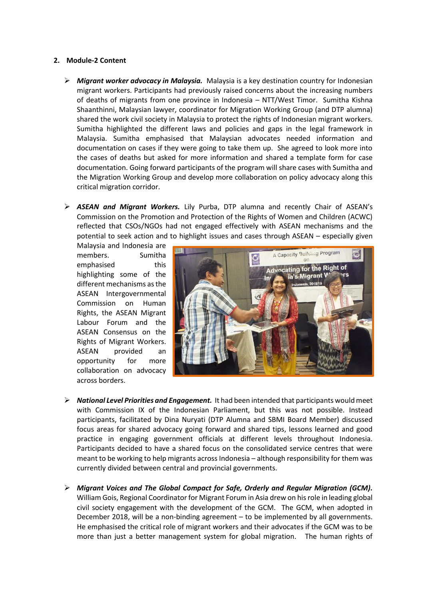## **2. Module-2 Content**

- ➢ *Migrant worker advocacy in Malaysia.* Malaysia is a key destination country for Indonesian migrant workers. Participants had previously raised concerns about the increasing numbers of deaths of migrants from one province in Indonesia – NTT/West Timor. Sumitha Kishna Shaanthinni, Malaysian lawyer, coordinator for Migration Working Group (and DTP alumna) shared the work civil society in Malaysia to protect the rights of Indonesian migrant workers. Sumitha highlighted the different laws and policies and gaps in the legal framework in Malaysia. Sumitha emphasised that Malaysian advocates needed information and documentation on cases if they were going to take them up. She agreed to look more into the cases of deaths but asked for more information and shared a template form for case documentation. Going forward participants of the program will share cases with Sumitha and the Migration Working Group and develop more collaboration on policy advocacy along this critical migration corridor.
- ➢ *ASEAN and Migrant Workers.* Lily Purba, DTP alumna and recently Chair of ASEAN's Commission on the Promotion and Protection of the Rights of Women and Children (ACWC) reflected that CSOs/NGOs had not engaged effectively with ASEAN mechanisms and the potential to seek action and to highlight issues and cases through ASEAN – especially given

Malaysia and Indonesia are members. Sumitha emphasised this highlighting some of the different mechanisms as the ASEAN Intergovernmental Commission on Human Rights, the ASEAN Migrant Labour Forum and the ASEAN Consensus on the Rights of Migrant Workers. ASEAN provided an opportunity for more collaboration on advocacy across borders.



- ➢ *National Level Priorities and Engagement.* It had been intended that participants would meet with Commission IX of the Indonesian Parliament, but this was not possible. Instead participants, facilitated by Dina Nuryati (DTP Alumna and SBMI Board Member) discussed focus areas for shared advocacy going forward and shared tips, lessons learned and good practice in engaging government officials at different levels throughout Indonesia. Participants decided to have a shared focus on the consolidated service centres that were meant to be working to help migrants across Indonesia – although responsibility for them was currently divided between central and provincial governments.
- ➢ *Migrant Voices and The Global Compact for Safe, Orderly and Regular Migration (GCM).* William Gois, Regional Coordinator for Migrant Forum in Asia drew on his role in leading global civil society engagement with the development of the GCM. The GCM, when adopted in December 2018, will be a non-binding agreement – to be implemented by all governments. He emphasised the critical role of migrant workers and their advocates if the GCM was to be more than just a better management system for global migration. The human rights of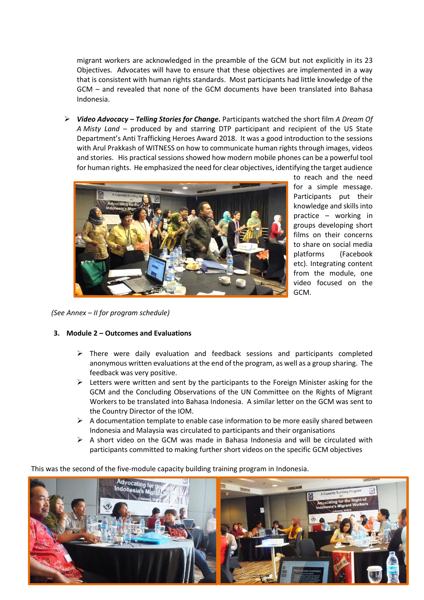migrant workers are acknowledged in the preamble of the GCM but not explicitly in its 23 Objectives. Advocates will have to ensure that these objectives are implemented in a way that is consistent with human rights standards. Most participants had little knowledge of the GCM – and revealed that none of the GCM documents have been translated into Bahasa Indonesia.

➢ *Video Advocacy – Telling Stories for Change.* Participants watched the short film *A Dream Of A Misty Land* – produced by and starring DTP participant and recipient of the US State Department's Anti Trafficking Heroes Award 2018. It was a good introduction to the sessions with Arul Prakkash of WITNESS on how to communicate human rights through images, videos and stories. His practical sessions showed how modern mobile phones can be a powerful tool for human rights. He emphasized the need for clear objectives, identifying the target audience



to reach and the need for a simple message. Participants put their knowledge and skills into practice – working in groups developing short films on their concerns to share on social media platforms (Facebook etc). Integrating content from the module, one video focused on the GCM.

*(See Annex – II for program schedule)*

## **3. Module 2 – Outcomes and Evaluations**

- $\triangleright$  There were daily evaluation and feedback sessions and participants completed anonymous written evaluations at the end of the program, as well as a group sharing. The feedback was very positive.
- ➢ Letters were written and sent by the participants to the Foreign Minister asking for the GCM and the Concluding Observations of the UN Committee on the Rights of Migrant Workers to be translated into Bahasa Indonesia. A similar letter on the GCM was sent to the Country Director of the IOM.
- $\triangleright$  A documentation template to enable case information to be more easily shared between Indonesia and Malaysia was circulated to participants and their organisations
- $\triangleright$  A short video on the GCM was made in Bahasa Indonesia and will be circulated with participants committed to making further short videos on the specific GCM objectives

This was the second of the five-module capacity building training program in Indonesia.

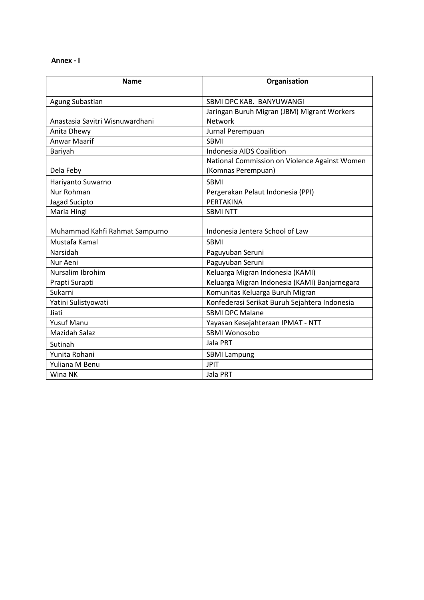## **Annex - I**

| <b>Name</b>                     | Organisation                                  |  |  |
|---------------------------------|-----------------------------------------------|--|--|
| Agung Subastian                 | SBMI DPC KAB. BANYUWANGI                      |  |  |
|                                 | Jaringan Buruh Migran (JBM) Migrant Workers   |  |  |
| Anastasia Savitri Wisnuwardhani | Network                                       |  |  |
| Anita Dhewy                     | Jurnal Perempuan                              |  |  |
| Anwar Maarif                    | <b>SBMI</b>                                   |  |  |
| Bariyah                         | Indonesia AIDS Coailition                     |  |  |
|                                 | National Commission on Violence Against Women |  |  |
| Dela Feby                       | (Komnas Perempuan)                            |  |  |
| Hariyanto Suwarno               | <b>SBMI</b>                                   |  |  |
| Nur Rohman                      | Pergerakan Pelaut Indonesia (PPI)             |  |  |
| Jagad Sucipto                   | PERTAKINA                                     |  |  |
| Maria Hingi                     | <b>SBMI NTT</b>                               |  |  |
|                                 |                                               |  |  |
| Muhammad Kahfi Rahmat Sampurno  | Indonesia Jentera School of Law               |  |  |
| Mustafa Kamal                   | <b>SBMI</b>                                   |  |  |
| Narsidah                        | Paguyuban Seruni                              |  |  |
| Nur Aeni                        | Paguyuban Seruni                              |  |  |
| Nursalim Ibrohim                | Keluarga Migran Indonesia (KAMI)              |  |  |
| Prapti Surapti                  | Keluarga Migran Indonesia (KAMI) Banjarnegara |  |  |
| Sukarni                         | Komunitas Keluarga Buruh Migran               |  |  |
| Yatini Sulistyowati             | Konfederasi Serikat Buruh Sejahtera Indonesia |  |  |
| Jiati                           | <b>SBMI DPC Malane</b>                        |  |  |
| <b>Yusuf Manu</b>               | Yayasan Kesejahteraan IPMAT - NTT             |  |  |
| <b>Mazidah Salaz</b>            | SBMI Wonosobo                                 |  |  |
| Sutinah                         | Jala PRT                                      |  |  |
| Yunita Rohani                   | <b>SBMI Lampung</b>                           |  |  |
| Yuliana M Benu                  | <b>JPIT</b>                                   |  |  |
| Wina NK                         | Jala PRT                                      |  |  |